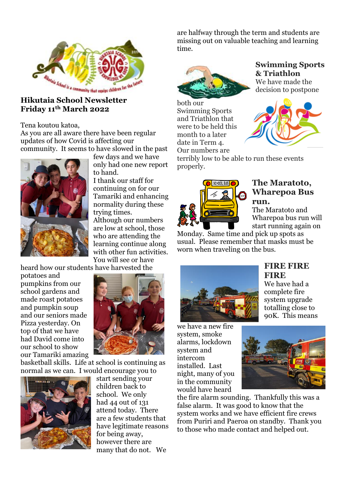

# **Friday 11th March 2022**

Tena koutou katoa,

As you are all aware there have been regular updates of how Covid is affecting our community. It seems to have slowed in the past



few days and we have only had one new report to hand.

I thank our staff for continuing on for our Tamariki and enhancing normality during these trying times. Although our numbers

are low at school, those who are attending the learning continue along with other fun activities. You will see or have

heard how our students have harvested the

potatoes and pumpkins from our school gardens and made roast potatoes and pumpkin soup and our seniors made Pizza yesterday. On top of that we have had David come into our school to show our Tamariki amazing



basketball skills. Life at school is continuing as normal as we can. I would encourage you to



start sending your children back to school. We only had 44 out of 131 attend today. There are a few students that have legitimate reasons for being away, however there are many that do not. We

are halfway through the term and students are missing out on valuable teaching and learning time.



both our Swimming Sports and Triathlon that were to be held this month to a later date in Term 4. Our numbers are



We have made the decision to postpone



terribly low to be able to run these events properly.



#### **The Maratoto, Wharepoa Bus run.**

The Maratoto and Wharepoa bus run will start running again on

Monday. Same time and pick up spots as usual. Please remember that masks must be worn when traveling on the bus.



we have a new fire system, smoke alarms, lockdown system and intercom installed. Last night, many of you in the community would have heard

#### **FIRE FIRE FIRE** We have had a

complete fire system upgrade totalling close to 90K. This means



the fire alarm sounding. Thankfully this was a false alarm. It was good to know that the system works and we have efficient fire crews from Puriri and Paeroa on standby. Thank you to those who made contact and helped out.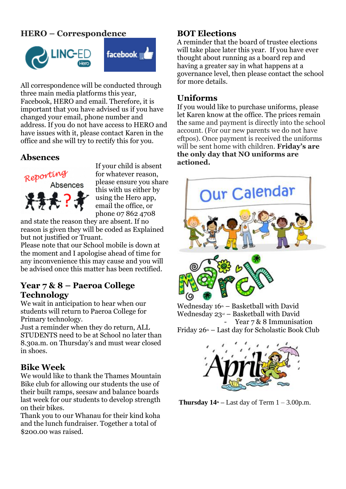# **HERO – Correspondence**





All correspondence will be conducted through three main media platforms this year, Facebook, HERO and email. Therefore, it is important that you have advised us if you have changed your email, phone number and address. If you do not have access to HERO and have issues with it, please contact Karen in the office and she will try to rectify this for you.

# **Absences**



If your child is absent for whatever reason, please ensure you share this with us either by using the Hero app, email the office, or phone 07 862 4708

and state the reason they are absent. If no reason is given they will be coded as Explained but not justified or Truant.

Please note that our School mobile is down at the moment and I apologise ahead of time for any inconvenience this may cause and you will be advised once this matter has been rectified.

#### **Year 7 & 8 – Paeroa College Technology**

We wait in anticipation to hear when our students will return to Paeroa College for Primary technology.

Just a reminder when they do return, ALL STUDENTS need to be at School no later than 8.30a.m. on Thursday's and must wear closed in shoes.

#### **Bike Week**

We would like to thank the Thames Mountain Bike club for allowing our students the use of their built ramps, seesaw and balance boards last week for our students to develop strength on their bikes.

Thank you to our Whanau for their kind koha and the lunch fundraiser. Together a total of \$200.00 was raised.

# **BOT Elections**

A reminder that the board of trustee elections will take place later this year. If you have ever thought about running as a board rep and having a greater say in what happens at a governance level, then please contact the school for more details.

## **Uniforms**

If you would like to purchase uniforms, please let Karen know at the office. The prices remain the same and payment is directly into the school account. (For our new parents we do not have eftpos). Once payment is received the uniforms will be sent home with children. **Friday's are the only day that NO uniforms are actioned.**



Wednesday  $16<sup>th</sup>$  – Basketball with David Wednesday  $23<sup>rd</sup>$  – Basketball with David Year 7 & 8 Immunisation Friday  $26<sup>th</sup>$  – Last day for Scholastic Book Club



**Thursday**  $14^{\text{th}}$  **– Last day of Term**  $1 - 3.00$ **p.m.**